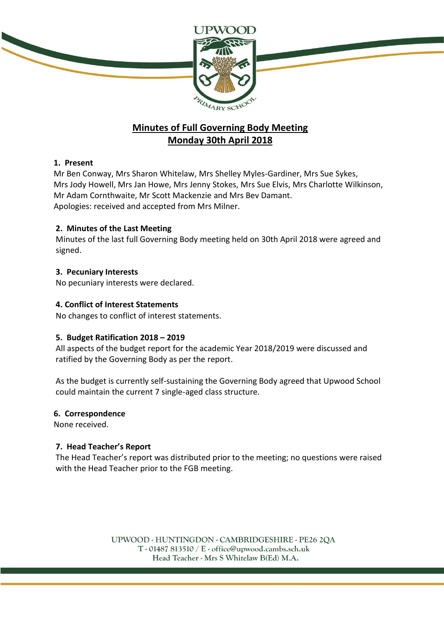

# **Minutes of Full Governing Body Meeting Monday 30th April 2018**

# **1. Present**

Mr Ben Conway, Mrs Sharon Whitelaw, Mrs Shelley Myles-Gardiner, Mrs Sue Sykes, Mrs Jody Howell, Mrs Jan Howe, Mrs Jenny Stokes, Mrs Sue Elvis, Mrs Charlotte Wilkinson, Mr Adam Cornthwaite, Mr Scott Mackenzie and Mrs Bev Damant. Apologies: received and accepted from Mrs Milner.

## **2. Minutes of the Last Meeting**

Minutes of the last full Governing Body meeting held on 30th April 2018 were agreed and signed.

## **3. Pecuniary Interests**

No pecuniary interests were declared.

## **4. Conflict of Interest Statements**

No changes to conflict of interest statements.

## **5. Budget Ratification 2018 – 2019**

All aspects of the budget report for the academic Year 2018/2019 were discussed and ratified by the Governing Body as per the report.

As the budget is currently self-sustaining the Governing Body agreed that Upwood School could maintain the current 7 single-aged class structure.

## **6. Correspondence**

None received.

# **7. Head Teacher's Report**

The Head Teacher's report was distributed prior to the meeting; no questions were raised with the Head Teacher prior to the FGB meeting.

> UPWOOD - HUNTINGDON - CAMBRIDGESHIRE - PE26 2QA  $T \cdot 01487813510 / E \cdot 0$  office@upwood.cambs.sch.uk Head Teacher - Mrs S Whitelaw B(Ed) M.A.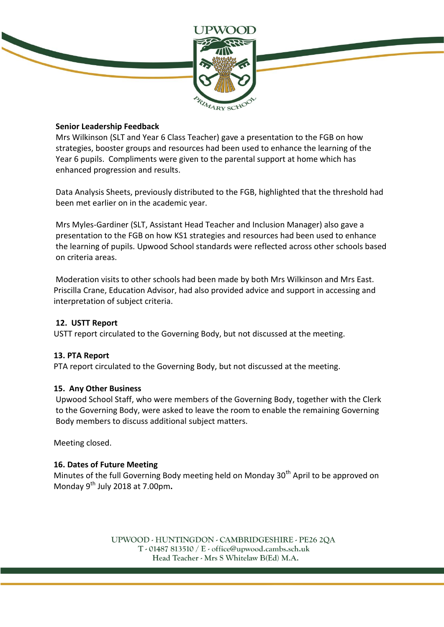

## **Senior Leadership Feedback**

Mrs Wilkinson (SLT and Year 6 Class Teacher) gave a presentation to the FGB on how strategies, booster groups and resources had been used to enhance the learning of the Year 6 pupils. Compliments were given to the parental support at home which has enhanced progression and results.

Data Analysis Sheets, previously distributed to the FGB, highlighted that the threshold had been met earlier on in the academic year.

Mrs Myles-Gardiner (SLT, Assistant Head Teacher and Inclusion Manager) also gave a presentation to the FGB on how KS1 strategies and resources had been used to enhance the learning of pupils. Upwood School standards were reflected across other schools based on criteria areas.

Moderation visits to other schools had been made by both Mrs Wilkinson and Mrs East. Priscilla Crane, Education Advisor, had also provided advice and support in accessing and interpretation of subject criteria.

# **12. USTT Report**

USTT report circulated to the Governing Body, but not discussed at the meeting.

## **13. PTA Report**

PTA report circulated to the Governing Body, but not discussed at the meeting.

## **15. Any Other Business**

Upwood School Staff, who were members of the Governing Body, together with the Clerk to the Governing Body, were asked to leave the room to enable the remaining Governing Body members to discuss additional subject matters.

Meeting closed.

## **16. Dates of Future Meeting**

Minutes of the full Governing Body meeting held on Monday  $30<sup>th</sup>$  April to be approved on Monday 9th July 2018 at 7.00pm**.**

> UPWOOD - HUNTINGDON - CAMBRIDGESHIRE - PE26 2QA  $T \cdot 01487813510 / E \cdot 0$  office@upwood.cambs.sch.uk Head Teacher - Mrs S Whitelaw B(Ed) M.A.